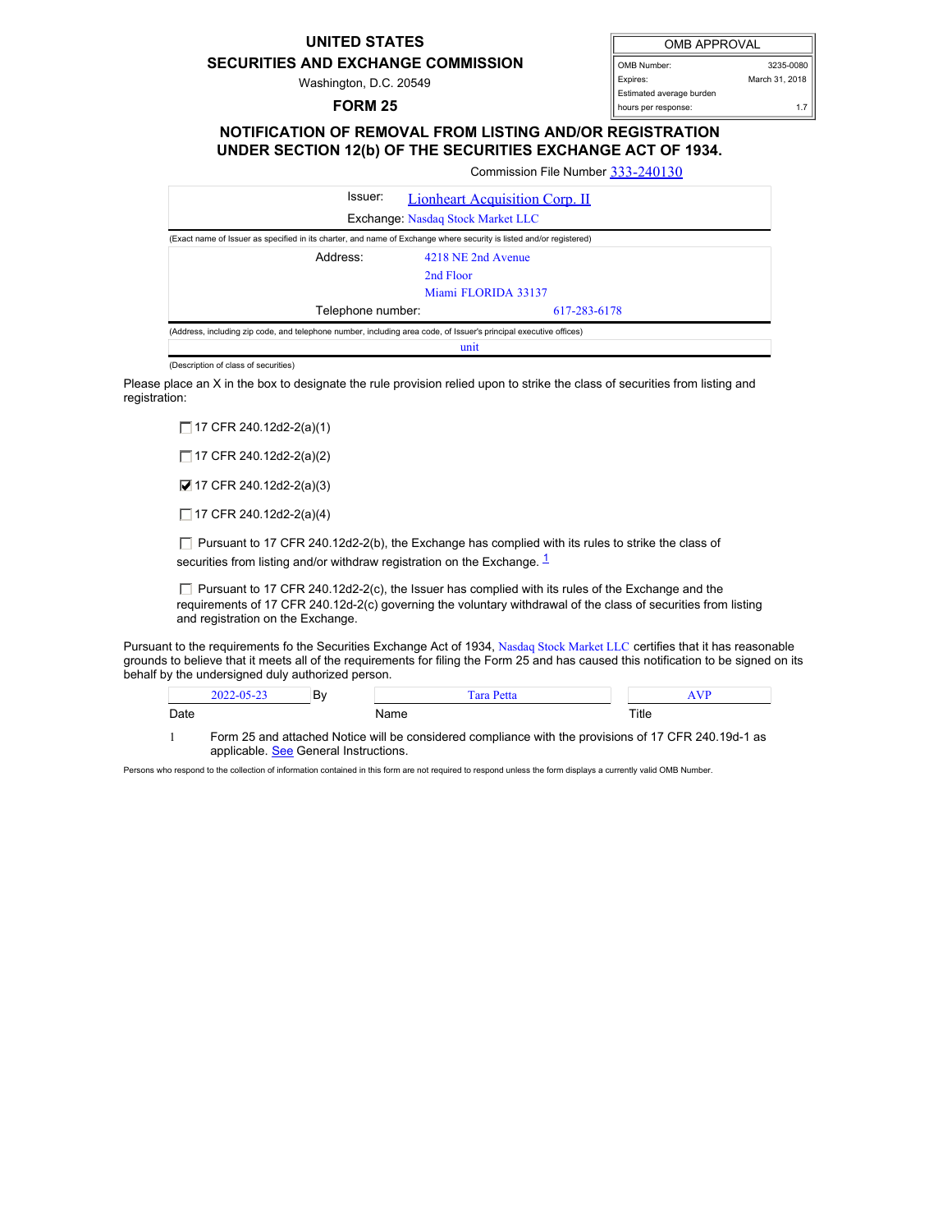## **UNITED STATES**

## **SECURITIES AND EXCHANGE COMMISSION**

Washington, D.C. 20549

## **FORM 25**

| <b>OMB APPROVAL</b>      |                |  |
|--------------------------|----------------|--|
| OMB Number:              | 3235-0080      |  |
| Expires:                 | March 31, 2018 |  |
| Estimated average burden |                |  |
| hours per response:      | 17             |  |

## **NOTIFICATION OF REMOVAL FROM LISTING AND/OR REGISTRATION UNDER SECTION 12(b) OF THE SECURITIES EXCHANGE ACT OF 1934.**

Commission File Number [333-240130](file:///cgi-bin/browse-edgar?action=getcompany&filenum=333-240130)

| Issuer:                                                                                                             | <b>Lionheart Acquisition Corp. II</b> |  |  |
|---------------------------------------------------------------------------------------------------------------------|---------------------------------------|--|--|
| Exchange: Nasdaq Stock Market LLC                                                                                   |                                       |  |  |
| (Exact name of Issuer as specified in its charter, and name of Exchange where security is listed and/or registered) |                                       |  |  |
| Address:                                                                                                            | 4218 NE 2nd Avenue                    |  |  |
|                                                                                                                     | 2nd Floor                             |  |  |
|                                                                                                                     | Miami FLORIDA 33137                   |  |  |
| Telephone number:                                                                                                   | 617-283-6178                          |  |  |
| (Address, including zip code, and telephone number, including area code, of Issuer's principal executive offices)   |                                       |  |  |
| unit                                                                                                                |                                       |  |  |

(Description of class of securities)

Please place an X in the box to designate the rule provision relied upon to strike the class of securities from listing and registration:

□ 17 CFR 240.12d2-2(a)(1)

□ 17 CFR 240.12d2-2(a)(2)

■ 17 CFR 240.12d2-2(a)(3)

 $\Box$  17 CFR 240.12d2-2(a)(4)

 $\Box$  Pursuant to 17 CFR 240.12d2-2(b), the Exchange has complied with its rules to strike the class of securities from listing and/or withdraw registration on the Exchange.  $\frac{1}{1}$  $\frac{1}{1}$  $\frac{1}{1}$ 

 $\Box$  Pursuant to 17 CFR 240.12d2-2(c), the Issuer has complied with its rules of the Exchange and the requirements of 17 CFR 240.12d-2(c) governing the voluntary withdrawal of the class of securities from listing and registration on the Exchange.

Pursuant to the requirements fo the Securities Exchange Act of 1934, Nasdaq Stock Market LLC certifies that it has reasonable grounds to believe that it meets all of the requirements for filing the Form 25 and has caused this notification to be signed on its behalf by the undersigned duly authorized person.

|      | D.<br>. DV |   |       |
|------|------------|---|-------|
| Date |            | . | Title |

<span id="page-0-0"></span>1 Form 25 and attached Notice will be considered compliance with the provisions of 17 CFR 240.19d-1 as applicable. See General Instructions.

Persons who respond to the collection of information contained in this form are not required to respond unless the form displays a currently valid OMB Number.